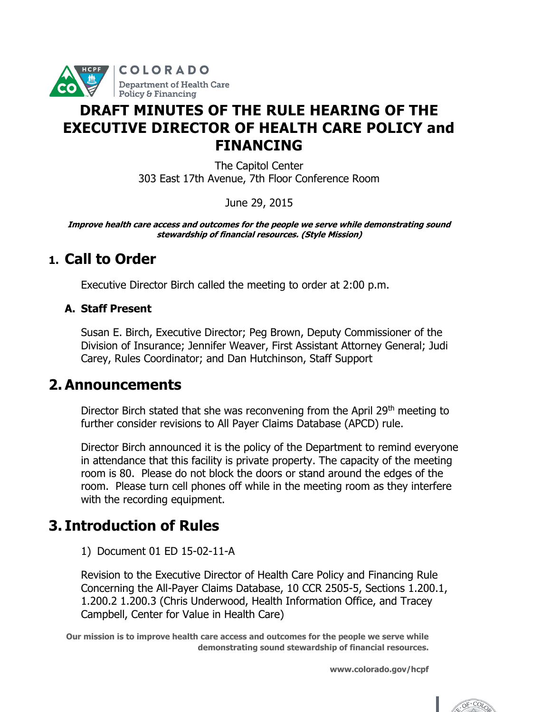

# **DRAFT MINUTES OF THE RULE HEARING OF THE EXECUTIVE DIRECTOR OF HEALTH CARE POLICY and FINANCING**

The Capitol Center 303 East 17th Avenue, 7th Floor Conference Room

June 29, 2015

**Improve health care access and outcomes for the people we serve while demonstrating sound stewardship of financial resources. (Style Mission)**

# **1. Call to Order**

Executive Director Birch called the meeting to order at 2:00 p.m.

### **A. Staff Present**

Susan E. Birch, Executive Director; Peg Brown, Deputy Commissioner of the Division of Insurance; Jennifer Weaver, First Assistant Attorney General; Judi Carey, Rules Coordinator; and Dan Hutchinson, Staff Support

### **2. Announcements**

Director Birch stated that she was reconvening from the April 29<sup>th</sup> meeting to further consider revisions to All Payer Claims Database (APCD) rule.

Director Birch announced it is the policy of the Department to remind everyone in attendance that this facility is private property. The capacity of the meeting room is 80. Please do not block the doors or stand around the edges of the room. Please turn cell phones off while in the meeting room as they interfere with the recording equipment.

# **3. Introduction of Rules**

1) Document 01 ED 15-02-11-A

Revision to the Executive Director of Health Care Policy and Financing Rule Concerning the All-Payer Claims Database, 10 CCR 2505-5, Sections 1.200.1, 1.200.2 1.200.3 (Chris Underwood, Health Information Office, and Tracey Campbell, Center for Value in Health Care)

**Our mission is to improve health care access and outcomes for the people we serve while demonstrating sound stewardship of financial resources.**

**www.colorado.gov/hcpf**

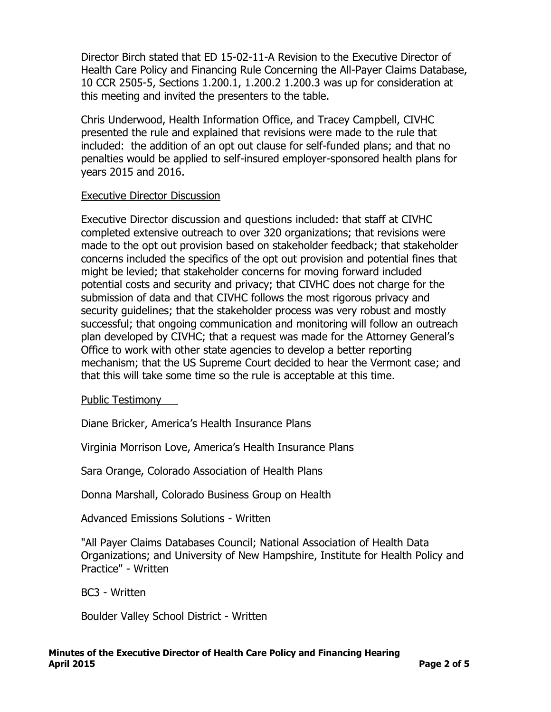Director Birch stated that ED 15-02-11-A Revision to the Executive Director of Health Care Policy and Financing Rule Concerning the All-Payer Claims Database, 10 CCR 2505-5, Sections 1.200.1, 1.200.2 1.200.3 was up for consideration at this meeting and invited the presenters to the table.

Chris Underwood, Health Information Office, and Tracey Campbell, CIVHC presented the rule and explained that revisions were made to the rule that included: the addition of an opt out clause for self-funded plans; and that no penalties would be applied to self-insured employer-sponsored health plans for years 2015 and 2016.

#### Executive Director Discussion

Executive Director discussion and questions included: that staff at CIVHC completed extensive outreach to over 320 organizations; that revisions were made to the opt out provision based on stakeholder feedback; that stakeholder concerns included the specifics of the opt out provision and potential fines that might be levied; that stakeholder concerns for moving forward included potential costs and security and privacy; that CIVHC does not charge for the submission of data and that CIVHC follows the most rigorous privacy and security guidelines; that the stakeholder process was very robust and mostly successful; that ongoing communication and monitoring will follow an outreach plan developed by CIVHC; that a request was made for the Attorney General's Office to work with other state agencies to develop a better reporting mechanism; that the US Supreme Court decided to hear the Vermont case; and that this will take some time so the rule is acceptable at this time.

Public Testimony

Diane Bricker, America's Health Insurance Plans

Virginia Morrison Love, America's Health Insurance Plans

Sara Orange, Colorado Association of Health Plans

Donna Marshall, Colorado Business Group on Health

Advanced Emissions Solutions - Written

"All Payer Claims Databases Council; National Association of Health Data Organizations; and University of New Hampshire, Institute for Health Policy and Practice" - Written

BC3 - Written

Boulder Valley School District - Written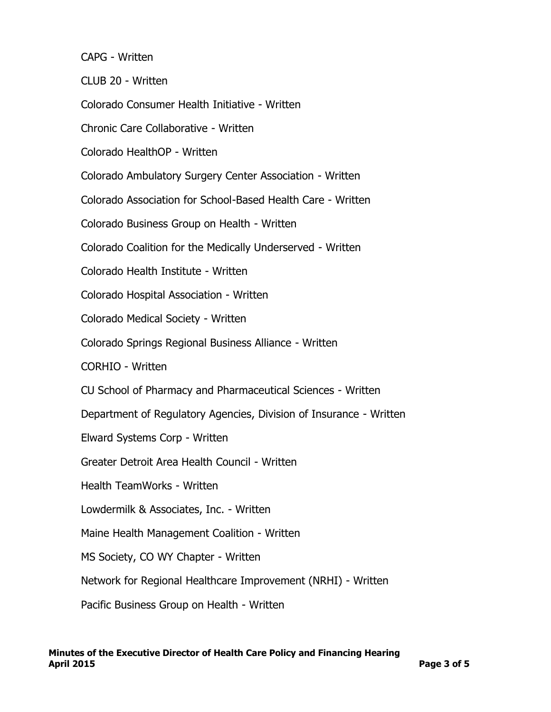CAPG - Written

CLUB 20 - Written

Colorado Consumer Health Initiative - Written

Chronic Care Collaborative - Written

Colorado HealthOP - Written

Colorado Ambulatory Surgery Center Association - Written

Colorado Association for School-Based Health Care - Written

Colorado Business Group on Health - Written

Colorado Coalition for the Medically Underserved - Written

Colorado Health Institute - Written

Colorado Hospital Association - Written

Colorado Medical Society - Written

Colorado Springs Regional Business Alliance - Written

CORHIO - Written

CU School of Pharmacy and Pharmaceutical Sciences - Written

Department of Regulatory Agencies, Division of Insurance - Written

Elward Systems Corp - Written

Greater Detroit Area Health Council - Written

Health TeamWorks - Written

Lowdermilk & Associates, Inc. - Written

Maine Health Management Coalition - Written

MS Society, CO WY Chapter - Written

Network for Regional Healthcare Improvement (NRHI) - Written

Pacific Business Group on Health - Written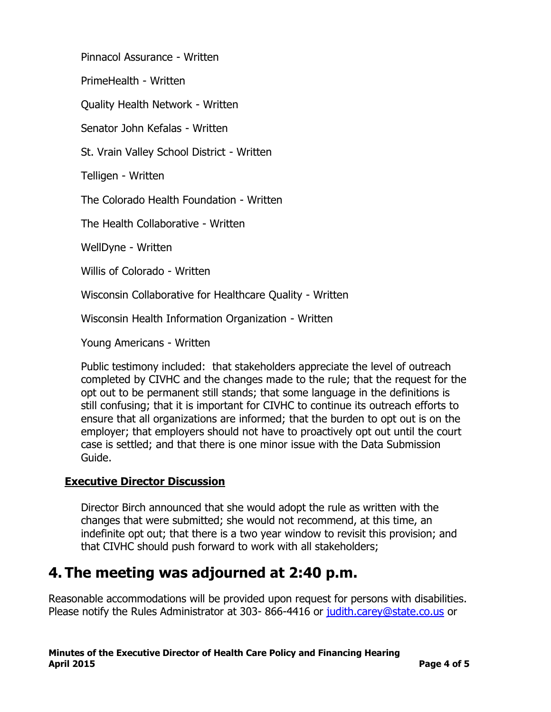Pinnacol Assurance - Written

PrimeHealth - Written

Quality Health Network - Written

Senator John Kefalas - Written

St. Vrain Valley School District - Written

Telligen - Written

The Colorado Health Foundation - Written

The Health Collaborative - Written

WellDyne - Written

Willis of Colorado - Written

Wisconsin Collaborative for Healthcare Quality - Written

Wisconsin Health Information Organization - Written

Young Americans - Written

Public testimony included: that stakeholders appreciate the level of outreach completed by CIVHC and the changes made to the rule; that the request for the opt out to be permanent still stands; that some language in the definitions is still confusing; that it is important for CIVHC to continue its outreach efforts to ensure that all organizations are informed; that the burden to opt out is on the employer; that employers should not have to proactively opt out until the court case is settled; and that there is one minor issue with the Data Submission Guide.

#### **Executive Director Discussion**

Director Birch announced that she would adopt the rule as written with the changes that were submitted; she would not recommend, at this time, an indefinite opt out; that there is a two year window to revisit this provision; and that CIVHC should push forward to work with all stakeholders;

### **4. The meeting was adjourned at 2:40 p.m.**

Reasonable accommodations will be provided upon request for persons with disabilities. Please notify the Rules Administrator at 303- 866-4416 or [judith.carey@state.co.us](mailto:judith.carey@state.co.us) or